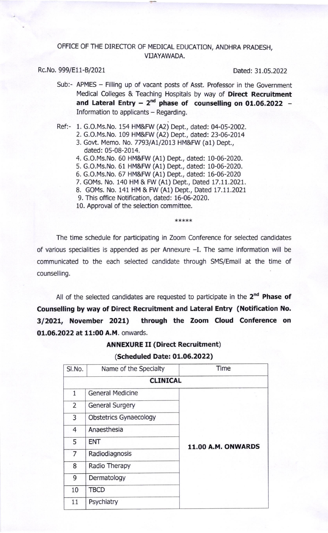#### OFFICE OF THE DIRECTOR OF MEDICAL EDUCATION, ANDHRA PRADESH, VIJAYAWADA.

#### Rc.No. 999/E11-B/2021 Dated: 31.05.2022

- Sub:- APMES Filling up of vacant posts of Asst. Professor in the Government Medical Colleges & Teaching Hospitals by way of Direct Recruitment and Lateral Entry  $-2^{nd}$  phase of counselling on 01.06.2022  $-$ Information to applicants - Regarding.
- Ref:- 1. G.O.Ms.No, 154 HM&FW (A2) Dept., dated: 04-05-2002.
	- 2. G.O.Ms.No. 109 HM&FW (A2) Dept., dated: 23-06-2014
	- 3. Govt. Memo. No. 7793/A1/2013 HM&FW (a1) Dept., dated: 05-08-2014.
	- 4. G.O.Ms.No. 60 HM&FW (A1) Dept., dated: 10-06-2020.
	- 5. G.O.Ms,No. 61 HM&FW (A1) Dept., dated: 10-06-2020.
	- 6. G.O.Ms.No. 67 HM&FW (A1) Dept., dated: 16-06-2020
	- 7. GOMs. No. 140 HM & FW (A1) Dept., Dated 17.11.2021.
	- B. GOMs. No. 141 HM & FW (A1) Dept., Dated 17.11.2021
	- 9. This office Notification, dated: 16-06-2020.

10. Approval of the selection committee.

\*\*\*\*\*

The time schedule for participating in Zoom Conference for selected candidates of various specialities is appended as per Annexure -I. The same information will be communicated to the each selected candidate through SMS/Email at the time of counselling.

All of the selected candidates are requested to participate in the  $2<sup>nd</sup>$  Phase of Counselling by way of Direct Recruitment and Lateral Entry (Notification No. 3/2021, November 2021) through the Zoom Cloud Conference on 01.06.2022 at 11:00 A.M. onwards.

## ANNEXURE II (Direct Recruitment)

(Scheduled Date: 01.06.2022)

| SI.No.         | Name of the Specialty         | Time                      |  |  |
|----------------|-------------------------------|---------------------------|--|--|
|                | <b>CLINICAL</b>               |                           |  |  |
| $\mathbf{1}$   | <b>General Medicine</b>       |                           |  |  |
| 2              | <b>General Surgery</b>        |                           |  |  |
| 3              | <b>Obstetrics Gynaecology</b> |                           |  |  |
| $\overline{4}$ | Anaesthesia                   |                           |  |  |
| 5              | <b>ENT</b>                    | <b>11.00 A.M. ONWARDS</b> |  |  |
| 7              | Radiodiagnosis                |                           |  |  |
| 8              | Radio Therapy                 |                           |  |  |
| 9              | Dermatology                   |                           |  |  |
| 10             | <b>TBCD</b>                   |                           |  |  |
| 11             | Psychiatry                    |                           |  |  |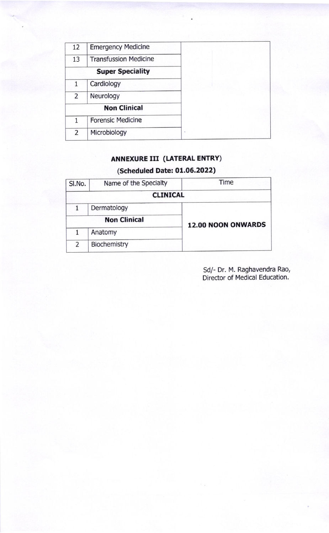| 12 | <b>Emergency Medicine</b>    |  |
|----|------------------------------|--|
| 13 | <b>Transfussion Medicine</b> |  |
|    | <b>Super Speciality</b>      |  |
| 1  | Cardiology                   |  |
| 2  | Neurology                    |  |
|    | <b>Non Clinical</b>          |  |
| 1  | <b>Forensic Medicine</b>     |  |
| 2  | Microbiology                 |  |

## ANNEXURE III (LATERAL ENTRY)

# (Scheduled Date: 01.06.2022)

| SI.No.         | Name of the Specialty | Time                      |  |  |
|----------------|-----------------------|---------------------------|--|--|
|                | <b>CLINICAL</b>       |                           |  |  |
|                | Dermatology           |                           |  |  |
|                | <b>Non Clinical</b>   | <b>12.00 NOON ONWARDS</b> |  |  |
| 1              | Anatomy               |                           |  |  |
| $\overline{2}$ | Biochemistry          |                           |  |  |

Sd/- Dr. M. Raghavendra Rao, Director of Medical Education.